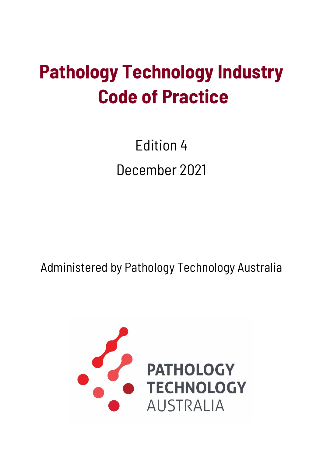# **Pathology Technology Industry Code of Practice**

Edition 4 December 2021

Administered by Pathology Technology Australia

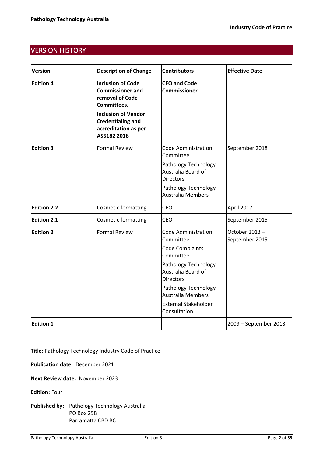# VERSION HISTORY

| <b>Version</b>     | <b>Description of Change</b>                                                                                                                                                           | <b>Contributors</b>                                                                                                                                                                                                                                 | <b>Effective Date</b>           |
|--------------------|----------------------------------------------------------------------------------------------------------------------------------------------------------------------------------------|-----------------------------------------------------------------------------------------------------------------------------------------------------------------------------------------------------------------------------------------------------|---------------------------------|
| <b>Edition 4</b>   | <b>Inclusion of Code</b><br><b>Commissioner and</b><br>removal of Code<br>Committees.<br><b>Inclusion of Vendor</b><br><b>Credentialing and</b><br>accreditation as per<br>AS5182 2018 | <b>CEO and Code</b><br><b>Commissioner</b>                                                                                                                                                                                                          |                                 |
| <b>Edition 3</b>   | <b>Formal Review</b>                                                                                                                                                                   | Code Administration<br>Committee<br>Pathology Technology<br>Australia Board of<br><b>Directors</b><br>Pathology Technology<br>Australia Members                                                                                                     | September 2018                  |
| <b>Edition 2.2</b> | <b>Cosmetic formatting</b>                                                                                                                                                             | CEO                                                                                                                                                                                                                                                 | April 2017                      |
| <b>Edition 2.1</b> | <b>Cosmetic formatting</b>                                                                                                                                                             | CEO                                                                                                                                                                                                                                                 | September 2015                  |
| <b>Edition 2</b>   | <b>Formal Review</b>                                                                                                                                                                   | <b>Code Administration</b><br>Committee<br><b>Code Complaints</b><br>Committee<br>Pathology Technology<br>Australia Board of<br><b>Directors</b><br>Pathology Technology<br><b>Australia Members</b><br><b>External Stakeholder</b><br>Consultation | October 2013-<br>September 2015 |
| <b>Edition 1</b>   |                                                                                                                                                                                        |                                                                                                                                                                                                                                                     | 2009 - September 2013           |

**Title:** Pathology Technology Industry Code of Practice

**Publication date:** December 2021

**Next Review date:** November 2023

**Edition:** Four

**Published by:** Pathology Technology Australia PO Box 298 Parramatta CBD BC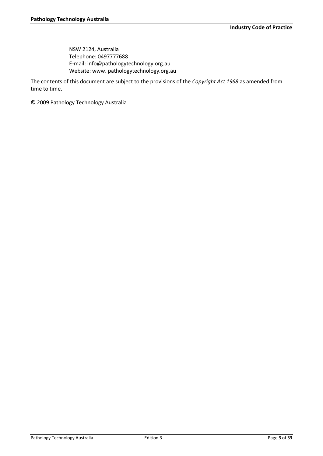NSW 2124, Australia Telephone: 0497777688 E-mail: info@pathologytechnology.org.au Website: www. pathologytechnology.org.au

The contents of this document are subject to the provisions of the *Copyright Act 1968* as amended from time to time.

© 2009 Pathology Technology Australia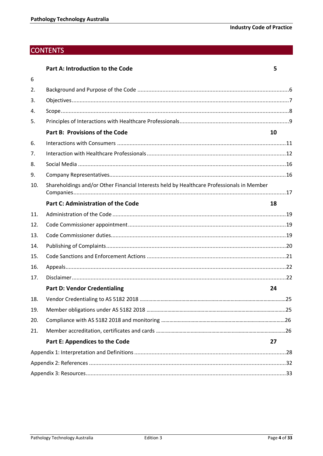5

# **CONTENTS**

| <b>Part A: Introduction to the Code</b> |  |
|-----------------------------------------|--|
|-----------------------------------------|--|

| 6   |                                                                                           |    |
|-----|-------------------------------------------------------------------------------------------|----|
| 2.  |                                                                                           |    |
| 3.  |                                                                                           |    |
| 4.  |                                                                                           |    |
| 5.  |                                                                                           |    |
|     | <b>Part B: Provisions of the Code</b>                                                     | 10 |
| 6.  |                                                                                           |    |
| 7.  |                                                                                           |    |
| 8.  |                                                                                           |    |
| 9.  |                                                                                           |    |
| 10. | Shareholdings and/or Other Financial Interests held by Healthcare Professionals in Member |    |
|     | <b>Part C: Administration of the Code</b>                                                 | 18 |
| 11. |                                                                                           |    |
| 12. |                                                                                           |    |
| 13. |                                                                                           |    |
| 14. |                                                                                           |    |
| 15. |                                                                                           |    |
| 16. |                                                                                           |    |
| 17. |                                                                                           |    |
|     | <b>Part D: Vendor Credentialing</b>                                                       | 24 |
| 18. |                                                                                           |    |
| 19. |                                                                                           |    |
| 20. |                                                                                           |    |
| 21. |                                                                                           |    |
|     | Part E: Appendices to the Code                                                            | 27 |
|     |                                                                                           |    |
|     |                                                                                           |    |
|     |                                                                                           |    |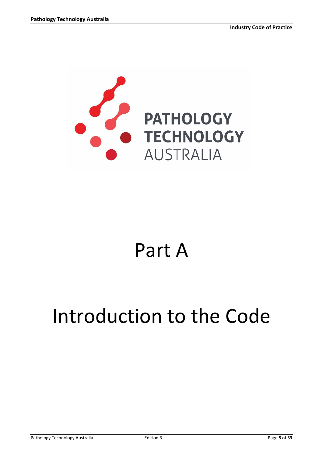

# Part A

# <span id="page-4-0"></span>Introduction to the Code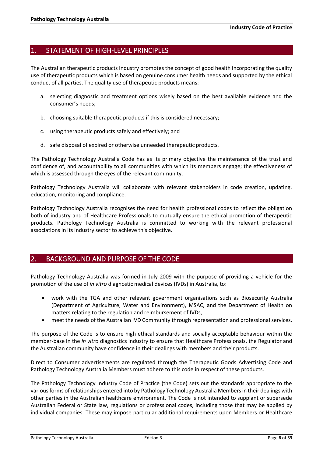## <span id="page-5-0"></span>1. STATEMENT OF HIGH-LEVEL PRINCIPLES

The Australian therapeutic products industry promotes the concept of good health incorporating the quality use of therapeutic products which is based on genuine consumer health needs and supported by the ethical conduct of all parties. The quality use of therapeutic products means:

- a. selecting diagnostic and treatment options wisely based on the best available evidence and the consumer's needs;
- b. choosing suitable therapeutic products if this is considered necessary;
- c. using therapeutic products safely and effectively; and
- d. safe disposal of expired or otherwise unneeded therapeutic products.

The Pathology Technology Australia Code has as its primary objective the maintenance of the trust and confidence of, and accountability to all communities with which its members engage; the effectiveness of which is assessed through the eyes of the relevant community.

Pathology Technology Australia will collaborate with relevant stakeholders in code creation, updating, education, monitoring and compliance.

Pathology Technology Australia recognises the need for health professional codes to reflect the obligation both of industry and of Healthcare Professionals to mutually ensure the ethical promotion of therapeutic products. Pathology Technology Australia is committed to working with the relevant professional associations in its industry sector to achieve this objective.

## <span id="page-5-1"></span>2. BACKGROUND AND PURPOSE OF THE CODE

Pathology Technology Australia was formed in July 2009 with the purpose of providing a vehicle for the promotion of the use of *in vitro* diagnostic medical devices (IVDs) in Australia, to:

- work with the TGA and other relevant government organisations such as Biosecurity Australia (Department of Agriculture, Water and Environment), MSAC, and the Department of Health on matters relating to the regulation and reimbursement of IVDs,
- meet the needs of the Australian IVD Community through representation and professional services.

The purpose of the Code is to ensure high ethical standards and socially acceptable behaviour within the member-base in the *in vitro* diagnostics industry to ensure that Healthcare Professionals, the Regulator and the Australian community have confidence in their dealings with members and their products.

Direct to Consumer advertisements are regulated through the Therapeutic Goods Advertising Code and Pathology Technology Australia Members must adhere to this code in respect of these products.

The Pathology Technology Industry Code of Practice (the Code) sets out the standards appropriate to the various forms of relationships entered into by Pathology Technology Australia Members in their dealings with other parties in the Australian healthcare environment. The Code is not intended to supplant or supersede Australian Federal or State law, regulations or professional codes, including those that may be applied by individual companies. These may impose particular additional requirements upon Members or Healthcare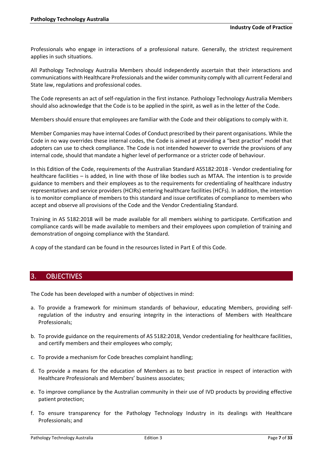Professionals who engage in interactions of a professional nature. Generally, the strictest requirement applies in such situations.

All Pathology Technology Australia Members should independently ascertain that their interactions and communications with Healthcare Professionals and the wider community comply with all current Federal and State law, regulations and professional codes.

The Code represents an act of self-regulation in the first instance. Pathology Technology Australia Members should also acknowledge that the Code is to be applied in the spirit, as well as in the letter of the Code.

Members should ensure that employees are familiar with the Code and their obligations to comply with it.

Member Companies may have internal Codes of Conduct prescribed by their parent organisations. While the Code in no way overrides these internal codes, the Code is aimed at providing a "best practice" model that adopters can use to check compliance. The Code is not intended however to override the provisions of any internal code, should that mandate a higher level of performance or a stricter code of behaviour.

In this Edition of the Code, requirements of the Australian Standard AS5182:2018 - Vendor credentialing for healthcare facilities – is added, in line with those of like bodies such as MTAA. The intention is to provide guidance to members and their employees as to the requirements for credentialing of healthcare industry representatives and service providers (HCIRs) entering healthcare facilities (HCFs). In addition, the intention is to monitor compliance of members to this standard and issue certificates of compliance to members who accept and observe all provisions of the Code and the Vendor Credentialing Standard.

Training in AS 5182:2018 will be made available for all members wishing to participate. Certification and compliance cards will be made available to members and their employees upon completion of training and demonstration of ongoing compliance with the Standard.

A copy of the standard can be found in the resources listed in Part E of this Code.

## <span id="page-6-0"></span>3. OBJECTIVES

The Code has been developed with a number of objectives in mind:

- a. To provide a framework for minimum standards of behaviour, educating Members, providing selfregulation of the industry and ensuring integrity in the interactions of Members with Healthcare Professionals;
- b. To provide guidance on the requirements of AS 5182:2018, Vendor credentialing for healthcare facilities, and certify members and their employees who comply;
- c. To provide a mechanism for Code breaches complaint handling;
- d. To provide a means for the education of Members as to best practice in respect of interaction with Healthcare Professionals and Members' business associates;
- e. To improve compliance by the Australian community in their use of IVD products by providing effective patient protection;
- f. To ensure transparency for the Pathology Technology Industry in its dealings with Healthcare Professionals; and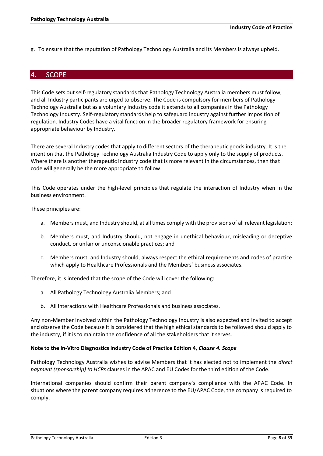g. To ensure that the reputation of Pathology Technology Australia and its Members is always upheld.

## <span id="page-7-0"></span>4. SCOPE

This Code sets out self-regulatory standards that Pathology Technology Australia members must follow, and all Industry participants are urged to observe. The Code is compulsory for members of Pathology Technology Australia but as a voluntary Industry code it extends to all companies in the Pathology Technology Industry. Self-regulatory standards help to safeguard industry against further imposition of regulation. Industry Codes have a vital function in the broader regulatory framework for ensuring appropriate behaviour by Industry.

There are several Industry codes that apply to different sectors of the therapeutic goods industry. It is the intention that the Pathology Technology Australia Industry Code to apply only to the supply of products. Where there is another therapeutic Industry code that is more relevant in the circumstances, then that code will generally be the more appropriate to follow.

This Code operates under the high-level principles that regulate the interaction of Industry when in the business environment.

These principles are:

- a. Members must, and Industry should, at all times comply with the provisions of all relevant legislation;
- b. Members must, and Industry should, not engage in unethical behaviour, misleading or deceptive conduct, or unfair or unconscionable practices; and
- c. Members must, and Industry should, always respect the ethical requirements and codes of practice which apply to Healthcare Professionals and the Members' business associates.

Therefore, it is intended that the scope of the Code will cover the following:

- a. All Pathology Technology Australia Members; and
- b. All interactions with Healthcare Professionals and business associates.

Any non-Member involved within the Pathology Technology Industry is also expected and invited to accept and observe the Code because it is considered that the high ethical standards to be followed should apply to the industry, if it is to maintain the confidence of all the stakeholders that it serves.

#### **Note to the In-Vitro Diagnostics Industry Code of Practice Edition 4,** *Clause 4. Scope*

Pathology Technology Australia wishes to advise Members that it has elected not to implement the *direct payment (sponsorship) to HCPs* clauses in the APAC and EU Codes for the third edition of the Code.

International companies should confirm their parent company's compliance with the APAC Code. In situations where the parent company requires adherence to the EU/APAC Code, the company is required to comply.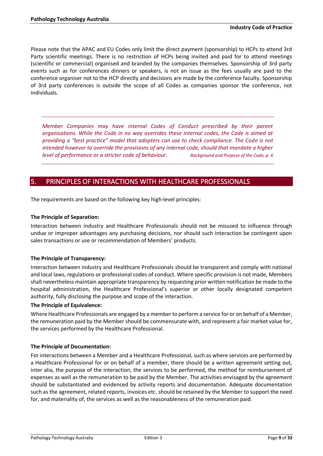Please note that the APAC and EU Codes only limit the direct payment (sponsorship) to HCPs to attend 3rd Party scientific meetings. There is no restriction of HCPs being invited and paid for to attend meetings (scientific or commercial) organised and branded by the companies themselves. Sponsorship of 3rd party events such as for conferences dinners or speakers, is not an issue as the fees usually are paid to the conference organiser not to the HCP directly and decisions are made by the conference faculty. Sponsorship of 3rd party conferences is outside the scope of all Codes as companies sponsor the conference, not individuals.

*Member Companies may have internal Codes of Conduct prescribed by their parent organisations. While the Code in no way overrides these internal codes, the Code is aimed at providing a "best practice" model that adopters can use to check compliance. The Code is not intended however to override the provisions of any internal code, should that mandate a higher level of performance or a stricter code of behaviour. Background and Purpose of the Code, p. 6*

# <span id="page-8-0"></span>5. PRINCIPLES OF INTERACTIONS WITH HEALTHCARE PROFESSIONALS

The requirements are based on the following key high-level principles:

### **The Principle of Separation:**

Interaction between industry and Healthcare Professionals should not be misused to influence through undue or improper advantages any purchasing decisions, nor should such interaction be contingent upon sales transactions or use or recommendation of Members' products.

#### **The Principle of Transparency:**

Interaction between industry and Healthcare Professionals should be transparent and comply with national and local laws, regulations or professional codes of conduct. Where specific provision is not made, Members shall nevertheless maintain appropriate transparency by requesting prior written notification be made to the hospital administration, the Healthcare Professional's superior or other locally designated competent authority, fully disclosing the purpose and scope of the interaction.

#### **The Principle of Equivalence:**

Where Healthcare Professionals are engaged by a member to perform a service for or on behalf of a Member, the remuneration paid by the Member should be commensurate with, and represent a fair market value for, the services performed by the Healthcare Professional.

#### **The Principle of Documentation:**

For interactions between a Member and a Healthcare Professional, such as where services are performed by a Healthcare Professional for or on behalf of a member, there should be a written agreement setting out, inter alia, the purpose of the interaction, the services to be performed, the method for reimbursement of expenses as well as the remuneration to be paid by the Member. The activities envisaged by the agreement should be substantiated and evidenced by activity reports and documentation. Adequate documentation such as the agreement, related reports, invoices etc. should be retained by the Member to support the need for, and materiality of, the services as well as the reasonableness of the remuneration paid.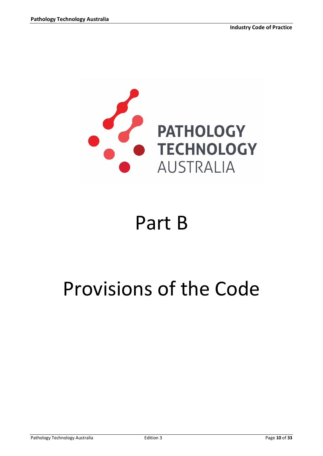

# Part B

# <span id="page-9-0"></span>Provisions of the Code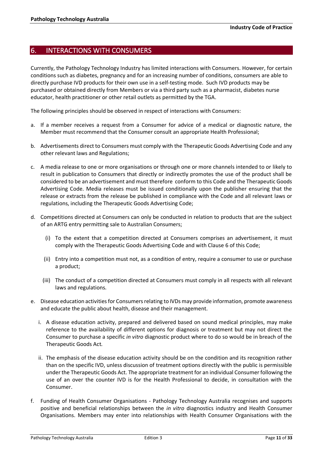## <span id="page-10-0"></span>6. INTERACTIONS WITH CONSUMERS

Currently, the Pathology Technology Industry has limited interactions with Consumers. However, for certain conditions such as diabetes, pregnancy and for an increasing number of conditions, consumers are able to directly purchase IVD products for their own use in a self-testing mode. Such IVD products may be purchased or obtained directly from Members or via a third party such as a pharmacist, diabetes nurse educator, health practitioner or other retail outlets as permitted by the TGA.

The following principles should be observed in respect of interactions with Consumers:

- a. If a member receives a request from a Consumer for advice of a medical or diagnostic nature, the Member must recommend that the Consumer consult an appropriate Health Professional;
- b. Advertisements direct to Consumers must comply with the Therapeutic Goods Advertising Code and any other relevant laws and Regulations;
- c. A media release to one or more organisations or through one or more channels intended to or likely to result in publication to Consumers that directly or indirectly promotes the use of the product shall be considered to be an advertisement and must therefore conform to this Code and the Therapeutic Goods Advertising Code. Media releases must be issued conditionally upon the publisher ensuring that the release or extracts from the release be published in compliance with the Code and all relevant laws or regulations, including the Therapeutic Goods Advertising Code;
- d. Competitions directed at Consumers can only be conducted in relation to products that are the subject of an ARTG entry permitting sale to Australian Consumers;
	- (i) To the extent that a competition directed at Consumers comprises an advertisement, it must comply with the Therapeutic Goods Advertising Code and with Clause 6 of this Code;
	- (ii) Entry into a competition must not, as a condition of entry, require a consumer to use or purchase a product;
	- (iii) The conduct of a competition directed at Consumers must comply in all respects with all relevant laws and regulations.
- e. Disease education activities for Consumers relating to IVDs may provide information, promote awareness and educate the public about health, disease and their management.
	- i. A disease education activity, prepared and delivered based on sound medical principles, may make reference to the availability of different options for diagnosis or treatment but may not direct the Consumer to purchase a specific *in vitro* diagnostic product where to do so would be in breach of the Therapeutic Goods Act*.*
	- ii. The emphasis of the disease education activity should be on the condition and its recognition rather than on the specific IVD, unless discussion of treatment options directly with the public is permissible under the Therapeutic Goods Act. The appropriate treatment for an individual Consumer following the use of an over the counter IVD is for the Health Professional to decide, in consultation with the Consumer.
- f. Funding of Health Consumer Organisations Pathology Technology Australia recognises and supports positive and beneficial relationships between the *in vitro* diagnostics industry and Health Consumer Organisations. Members may enter into relationships with Health Consumer Organisations with the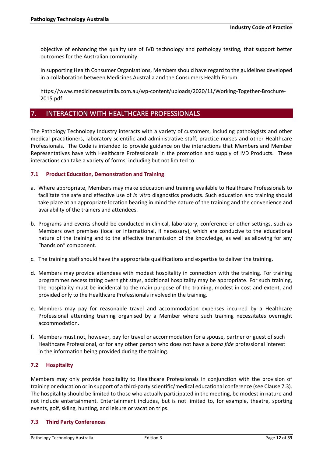objective of enhancing the quality use of IVD technology and pathology testing, that support better outcomes for the Australian community.

In supporting Health Consumer Organisations, Members should have regard to the guidelines developed in a collaboration between Medicines Australia and the Consumers Health Forum.

https://www.medicinesaustralia.com.au/wp-content/uploads/2020/11/Working-Together-Brochure-2015.pdf

## <span id="page-11-0"></span>7. INTERACTION WITH HEALTHCARE PROFESSIONALS

The Pathology Technology Industry interacts with a variety of customers, including pathologists and other medical practitioners, laboratory scientific and administrative staff, practice nurses and other Healthcare Professionals. The Code is intended to provide guidance on the interactions that Members and Member Representatives have with Healthcare Professionals in the promotion and supply of IVD Products. These interactions can take a variety of forms, including but not limited to:

### **7.1 Product Education, Demonstration and Training**

- a. Where appropriate, Members may make education and training available to Healthcare Professionals to facilitate the safe and effective use of *in vitro* diagnostics products. Such education and training should take place at an appropriate location bearing in mind the nature of the training and the convenience and availability of the trainers and attendees.
- b. Programs and events should be conducted in clinical, laboratory, conference or other settings, such as Members own premises (local or international, if necessary), which are conducive to the educational nature of the training and to the effective transmission of the knowledge, as well as allowing for any "hands on" component.
- c. The training staff should have the appropriate qualifications and expertise to deliver the training.
- d. Members may provide attendees with modest hospitality in connection with the training. For training programmes necessitating overnight stays, additional hospitality may be appropriate. For such training, the hospitality must be incidental to the main purpose of the training, modest in cost and extent, and provided only to the Healthcare Professionals involved in the training.
- e. Members may pay for reasonable travel and accommodation expenses incurred by a Healthcare Professional attending training organised by a Member where such training necessitates overnight accommodation.
- f. Members must not, however, pay for travel or accommodation for a spouse, partner or guest of such Healthcare Professional, or for any other person who does not have a *bona fide* professional interest in the information being provided during the training.

#### **7.2 Hospitality**

Members may only provide hospitality to Healthcare Professionals in conjunction with the provision of training or education or in support of a third-party scientific/medical educational conference (see Clause 7.3). The hospitality should be limited to those who actually participated in the meeting, be modest in nature and not include entertainment. Entertainment includes, but is not limited to, for example, theatre, sporting events, golf, skiing, hunting, and leisure or vacation trips.

#### **7.3 Third Party Conferences**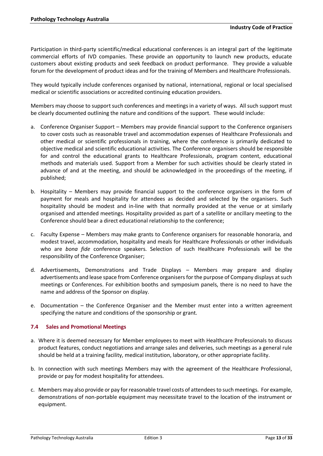Participation in third-party scientific/medical educational conferences is an integral part of the legitimate commercial efforts of IVD companies. These provide an opportunity to launch new products, educate customers about existing products and seek feedback on product performance. They provide a valuable forum for the development of product ideas and for the training of Members and Healthcare Professionals.

They would typically include conferences organised by national, international, regional or local specialised medical or scientific associations or accredited continuing education providers.

Members may choose to support such conferences and meetings in a variety of ways. All such support must be clearly documented outlining the nature and conditions of the support. These would include:

- a. Conference Organiser Support Members may provide financial support to the Conference organisers to cover costs such as reasonable travel and accommodation expenses of Healthcare Professionals and other medical or scientific professionals in training, where the conference is primarily dedicated to objective medical and scientific educational activities. The Conference organisers should be responsible for and control the educational grants to Healthcare Professionals, program content, educational methods and materials used. Support from a Member for such activities should be clearly stated in advance of and at the meeting, and should be acknowledged in the proceedings of the meeting, if published;
- b. Hospitality Members may provide financial support to the conference organisers in the form of payment for meals and hospitality for attendees as decided and selected by the organisers. Such hospitality should be modest and in-line with that normally provided at the venue or at similarly organised and attended meetings. Hospitality provided as part of a satellite or ancillary meeting to the Conference should bear a direct educational relationship to the conference;
- c. Faculty Expense Members may make grants to Conference organisers for reasonable honoraria, and modest travel, accommodation, hospitality and meals for Healthcare Professionals or other individuals who are *bona fide* conference speakers. Selection of such Healthcare Professionals will be the responsibility of the Conference Organiser;
- d. Advertisements, Demonstrations and Trade Displays Members may prepare and display advertisements and lease space from Conference organisersfor the purpose of Company displays at such meetings or Conferences. For exhibition booths and symposium panels, there is no need to have the name and address of the Sponsor on display.
- e. Documentation the Conference Organiser and the Member must enter into a written agreement specifying the nature and conditions of the sponsorship or grant.

## **7.4 Sales and Promotional Meetings**

- a. Where it is deemed necessary for Member employees to meet with Healthcare Professionals to discuss product features, conduct negotiations and arrange sales and deliveries, such meetings as a general rule should be held at a training facility, medical institution, laboratory, or other appropriate facility.
- b. In connection with such meetings Members may with the agreement of the Healthcare Professional, provide or pay for modest hospitality for attendees.
- c. Members may also provide or pay for reasonable travel costs of attendees to such meetings. For example, demonstrations of non-portable equipment may necessitate travel to the location of the instrument or equipment.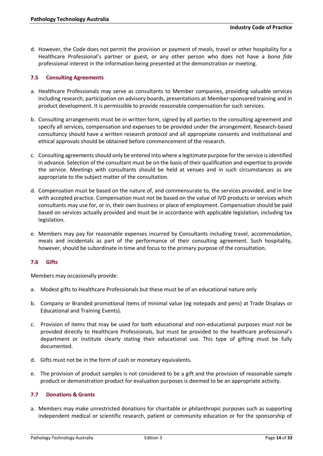d. However, the Code does not permit the provision or payment of meals, travel or other hospitality for a Healthcare Professional's partner or guest, or any other person who does not have a *bona fide* professional interest in the information being presented at the demonstration or meeting.

### **7.5 Consulting Agreements**

- a. Healthcare Professionals may serve as consultants to Member companies, providing valuable services including research, participation on advisory boards, presentations at Member-sponsored training and in product development. It is permissible to provide reasonable compensation for such services.
- b. Consulting arrangements must be in written form, signed by all parties to the consulting agreement and specify all services, compensation and expenses to be provided under the arrangement. Research-based consultancy should have a written research protocol and all appropriate consents and institutional and ethical approvals should be obtained before commencement of the research.
- c. Consulting agreements should only be entered into where a legitimate purpose for the service is identified in advance. Selection of the consultant must be on the basis of their qualification and expertise to provide the service. Meetings with consultants should be held at venues and in such circumstances as are appropriate to the subject matter of the consultation.
- d. Compensation must be based on the nature of, and commensurate to, the services provided, and in line with accepted practice. Compensation must not be based on the value of IVD products or services which consultants may use for, or in, their own business or place of employment. Compensation should be paid based on services actually provided and must be in accordance with applicable legislation, including tax legislation.
- e. Members may pay for reasonable expenses incurred by Consultants including travel, accommodation, meals and incidentals as part of the performance of their consulting agreement. Such hospitality, however, should be subordinate in time and focus to the primary purpose of the consultation.

## **7.6 Gifts**

Members may occasionally provide:

- a. Modest gifts to Healthcare Professionals but these must be of an educational nature only
- b. Company or Branded promotional items of minimal value (eg notepads and pens) at Trade Displays or Educational and Training Events).
- c. Provision of items that may be used for both educational and non-educational purposes must not be provided directly to Healthcare Professionals, but must be provided to the healthcare professional's department or institute clearly stating their educational use. This type of gifting must be fully documented.
- d. Gifts must not be in the form of cash or monetary equivalents.
- e. The provision of product samples is not considered to be a gift and the provision of reasonable sample product or demonstration product for evaluation purposes is deemed to be an appropriate activity.

#### **7.7 Donations & Grants**

a. Members may make unrestricted donations for charitable or philanthropic purposes such as supporting independent medical or scientific research, patient or community education or for the sponsorship of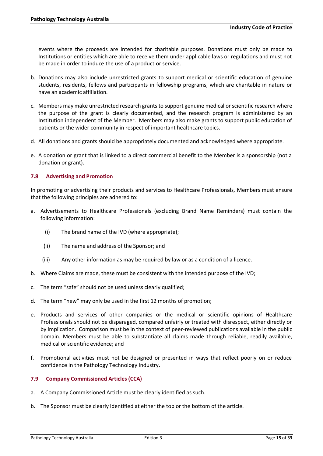events where the proceeds are intended for charitable purposes. Donations must only be made to Institutions or entities which are able to receive them under applicable laws or regulations and must not be made in order to induce the use of a product or service.

- b. Donations may also include unrestricted grants to support medical or scientific education of genuine students, residents, fellows and participants in fellowship programs, which are charitable in nature or have an academic affiliation.
- c. Members may make unrestricted research grants to support genuine medical or scientific research where the purpose of the grant is clearly documented, and the research program is administered by an Institution independent of the Member. Members may also make grants to support public education of patients or the wider community in respect of important healthcare topics.
- d. All donations and grants should be appropriately documented and acknowledged where appropriate.
- e. A donation or grant that is linked to a direct commercial benefit to the Member is a sponsorship (not a donation or grant).

## **7.8 Advertising and Promotion**

In promoting or advertising their products and services to Healthcare Professionals, Members must ensure that the following principles are adhered to:

- a. Advertisements to Healthcare Professionals (excluding Brand Name Reminders) must contain the following information:
	- (i) The brand name of the IVD (where appropriate);
	- (ii) The name and address of the Sponsor; and
	- (iii) Any other information as may be required by law or as a condition of a licence.
- b. Where Claims are made, these must be consistent with the intended purpose of the IVD;
- c. The term "safe" should not be used unless clearly qualified;
- d. The term "new" may only be used in the first 12 months of promotion;
- e. Products and services of other companies or the medical or scientific opinions of Healthcare Professionals should not be disparaged, compared unfairly or treated with disrespect, either directly or by implication. Comparison must be in the context of peer-reviewed publications available in the public domain. Members must be able to substantiate all claims made through reliable, readily available, medical or scientific evidence; and
- f. Promotional activities must not be designed or presented in ways that reflect poorly on or reduce confidence in the Pathology Technology Industry.

## **7.9 Company Commissioned Articles (CCA)**

- a. A Company Commissioned Article must be clearly identified as such.
- b. The Sponsor must be clearly identified at either the top or the bottom of the article.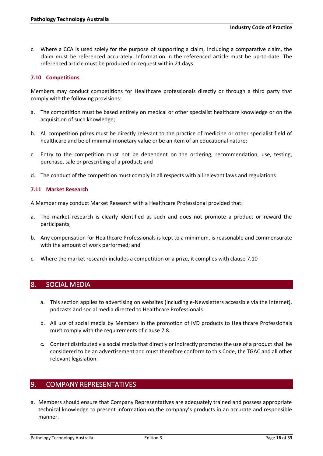c. Where a CCA is used solely for the purpose of supporting a claim, including a comparative claim, the claim must be referenced accurately. Information in the referenced article must be up-to-date. The referenced article must be produced on request within 21 days.

## **7.10 Competitions**

Members may conduct competitions for Healthcare professionals directly or through a third party that comply with the following provisions:

- a. The competition must be based entirely on medical or other specialist healthcare knowledge or on the acquisition of such knowledge;
- b. All competition prizes must be directly relevant to the practice of medicine or other specialist field of healthcare and be of minimal monetary value or be an item of an educational nature;
- c. Entry to the competition must not be dependent on the ordering, recommendation, use, testing, purchase, sale or prescribing of a product; and
- d. The conduct of the competition must comply in all respects with all relevant laws and regulations

### **7.11 Market Research**

A Member may conduct Market Research with a Healthcare Professional provided that:

- a. The market research is clearly identified as such and does not promote a product or reward the participants;
- b. Any compensation for Healthcare Professionals is kept to a minimum, is reasonable and commensurate with the amount of work performed; and
- c. Where the market research includes a competition or a prize, it complies with clause 7.10

## <span id="page-15-0"></span>8. SOCIAL MEDIA

- a. This section applies to advertising on websites (including e-Newsletters accessible via the internet), podcasts and social media directed to Healthcare Professionals.
- b. All use of social media by Members in the promotion of IVD products to Healthcare Professionals must comply with the requirements of clause 7.8.
- c. Content distributed via social media that directly or indirectly promotes the use of a product shall be considered to be an advertisement and must therefore conform to this Code, the TGAC and all other relevant legislation.

## <span id="page-15-1"></span>9. COMPANY REPRESENTATIVES

a. Members should ensure that Company Representatives are adequately trained and possess appropriate technical knowledge to present information on the company's products in an accurate and responsible manner.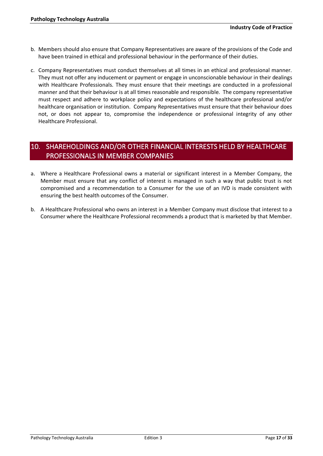- b. Members should also ensure that Company Representatives are aware of the provisions of the Code and have been trained in ethical and professional behaviour in the performance of their duties.
- c. Company Representatives must conduct themselves at all times in an ethical and professional manner. They must not offer any inducement or payment or engage in unconscionable behaviour in their dealings with Healthcare Professionals. They must ensure that their meetings are conducted in a professional manner and that their behaviour is at all times reasonable and responsible. The company representative must respect and adhere to workplace policy and expectations of the healthcare professional and/or healthcare organisation or institution. Company Representatives must ensure that their behaviour does not, or does not appear to, compromise the independence or professional integrity of any other Healthcare Professional.

# <span id="page-16-0"></span>10. SHAREHOLDINGS AND/OR OTHER FINANCIAL INTERESTS HELD BY HEALTHCARE PROFESSIONALS IN MEMBER COMPANIES

- a. Where a Healthcare Professional owns a material or significant interest in a Member Company, the Member must ensure that any conflict of interest is managed in such a way that public trust is not compromised and a recommendation to a Consumer for the use of an IVD is made consistent with ensuring the best health outcomes of the Consumer.
- b. A Healthcare Professional who owns an interest in a Member Company must disclose that interest to a Consumer where the Healthcare Professional recommends a product that is marketed by that Member.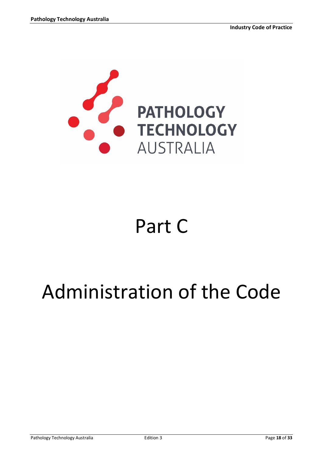

# Part C

# <span id="page-17-0"></span>Administration of the Code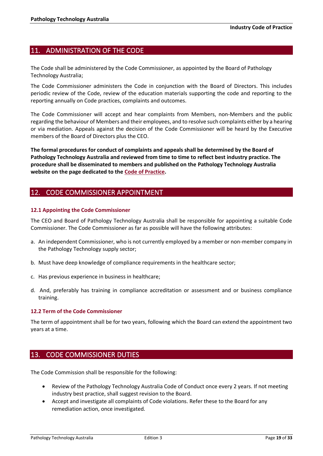## <span id="page-18-0"></span>11. ADMINISTRATION OF THE CODE

The Code shall be administered by the Code Commissioner, as appointed by the Board of Pathology Technology Australia;

The Code Commissioner administers the Code in conjunction with the Board of Directors. This includes periodic review of the Code, review of the education materials supporting the code and reporting to the reporting annually on Code practices, complaints and outcomes.

The Code Commissioner will accept and hear complaints from Members, non-Members and the public regarding the behaviour of Members and their employees, and to resolve such complaints either by a hearing or via mediation. Appeals against the decision of the Code Commissioner will be heard by the Executive members of the Board of Directors plus the CEO.

**The formal procedures for conduct of complaints and appeals shall be determined by the Board of Pathology Technology Australia and reviewed from time to time to reflect best industry practice. The procedure shall be disseminated to members and published on the Pathology Technology Australia website on the page dedicated to th[e Code of Practice.](http://ivd.org.au/about-us/code-of-conduct/)** 

## <span id="page-18-1"></span>12. CODE COMMISSIONER APPOINTMENT

### **12.1 Appointing the Code Commissioner**

The CEO and Board of Pathology Technology Australia shall be responsible for appointing a suitable Code Commissioner. The Code Commissioner as far as possible will have the following attributes:

- a. An independent Commissioner, who is not currently employed by a member or non-member company in the Pathology Technology supply sector;
- b. Must have deep knowledge of compliance requirements in the healthcare sector;
- c. Has previous experience in business in healthcare;
- d. And, preferably has training in compliance accreditation or assessment and or business compliance training.

#### **12.2 Term of the Code Commissioner**

The term of appointment shall be for two years, following which the Board can extend the appointment two years at a time.

## <span id="page-18-2"></span>13. CODE COMMISSIONER DUTIES

The Code Commission shall be responsible for the following:

- Review of the Pathology Technology Australia Code of Conduct once every 2 years. If not meeting industry best practice, shall suggest revision to the Board.
- Accept and investigate all complaints of Code violations. Refer these to the Board for any remediation action, once investigated.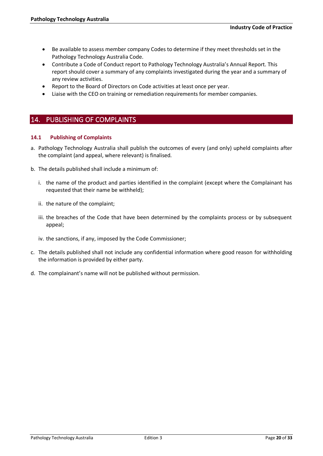- Be available to assess member company Codes to determine if they meet thresholds set in the Pathology Technology Australia Code.
- Contribute a Code of Conduct report to Pathology Technology Australia's Annual Report. This report should cover a summary of any complaints investigated during the year and a summary of any review activities.
- Report to the Board of Directors on Code activities at least once per year.
- Liaise with the CEO on training or remediation requirements for member companies.

## <span id="page-19-0"></span>14. PUBLISHING OF COMPLAINTS

### **14.1 Publishing of Complaints**

- a. Pathology Technology Australia shall publish the outcomes of every (and only) upheld complaints after the complaint (and appeal, where relevant) is finalised.
- b. The details published shall include a minimum of:
	- i. the name of the product and parties identified in the complaint (except where the Complainant has requested that their name be withheld);
	- ii. the nature of the complaint;
	- iii. the breaches of the Code that have been determined by the complaints process or by subsequent appeal;
	- iv. the sanctions, if any, imposed by the Code Commissioner;
- c. The details published shall not include any confidential information where good reason for withholding the information is provided by either party.
- d. The complainant's name will not be published without permission.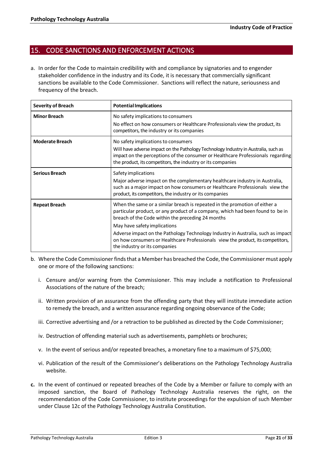## <span id="page-20-0"></span>15. CODE SANCTIONS AND ENFORCEMENT ACTIONS

a. In order for the Code to maintain credibility with and compliance by signatories and to engender stakeholder confidence in the industry and its Code, it is necessary that commercially significant sanctions be available to the Code Commissioner. Sanctions will reflect the nature, seriousness and frequency of the breach.

| <b>Severity of Breach</b> | <b>Potential Implications</b>                                                                                                                                                                                                                                                                                                                                                                                                                             |
|---------------------------|-----------------------------------------------------------------------------------------------------------------------------------------------------------------------------------------------------------------------------------------------------------------------------------------------------------------------------------------------------------------------------------------------------------------------------------------------------------|
| <b>Minor Breach</b>       | No safety implications to consumers<br>No effect on how consumers or Healthcare Professionals view the product, its<br>competitors, the industry or its companies                                                                                                                                                                                                                                                                                         |
| <b>Moderate Breach</b>    | No safety implications to consumers<br>Will have adverse impact on the Pathology Technology Industry in Australia, such as<br>impact on the perceptions of the consumer or Healthcare Professionals regarding<br>the product, its competitors, the industry or its companies                                                                                                                                                                              |
| <b>Serious Breach</b>     | Safety implications<br>Major adverse impact on the complementary healthcare industry in Australia,<br>such as a major impact on how consumers or Healthcare Professionals view the<br>product, its competitors, the industry or its companies                                                                                                                                                                                                             |
| <b>Repeat Breach</b>      | When the same or a similar breach is repeated in the promotion of either a<br>particular product, or any product of a company, which had been found to be in<br>breach of the Code within the preceding 24 months<br>May have safety implications<br>Adverse impact on the Pathology Technology Industry in Australia, such as impact<br>on how consumers or Healthcare Professionals view the product, its competitors,<br>the industry or its companies |

- b. Where the Code Commissioner finds that a Member has breached the Code, the Commissioner must apply one or more of the following sanctions:
	- i. Censure and/or warning from the Commissioner. This may include a notification to Professional Associations of the nature of the breach;
	- ii. Written provision of an assurance from the offending party that they will institute immediate action to remedy the breach, and a written assurance regarding ongoing observance of the Code;
	- iii. Corrective advertising and /or a retraction to be published as directed by the Code Commissioner;
	- iv. Destruction of offending material such as advertisements, pamphlets or brochures;
	- v. In the event of serious and/or repeated breaches, a monetary fine to a maximum of \$75,000;
	- vi. Publication of the result of the Commissioner's deliberations on the Pathology Technology Australia website.
- **c.** In the event of continued or repeated breaches of the Code by a Member or failure to comply with an imposed sanction, the Board of Pathology Technology Australia reserves the right, on the recommendation of the Code Commissioner, to institute proceedings for the expulsion of such Member under Clause 12c of the Pathology Technology Australia Constitution.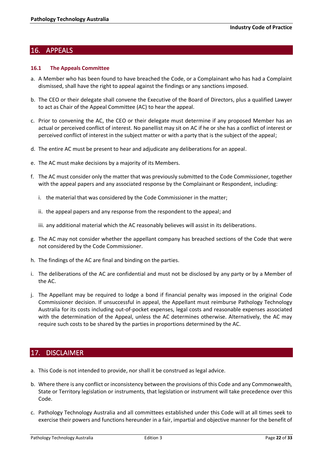## <span id="page-21-0"></span>16. APPEALS

### **16.1 The Appeals Committee**

- a. A Member who has been found to have breached the Code, or a Complainant who has had a Complaint dismissed, shall have the right to appeal against the findings or any sanctions imposed.
- b. The CEO or their delegate shall convene the Executive of the Board of Directors, plus a qualified Lawyer to act as Chair of the Appeal Committee (AC) to hear the appeal.
- c. Prior to convening the AC, the CEO or their delegate must determine if any proposed Member has an actual or perceived conflict of interest. No panellist may sit on AC if he or she has a conflict of interest or perceived conflict of interest in the subject matter or with a party that is the subject of the appeal;
- d. The entire AC must be present to hear and adjudicate any deliberations for an appeal.
- e. The AC must make decisions by a majority of its Members.
- f. The AC must consider only the matter that was previously submitted to the Code Commissioner, together with the appeal papers and any associated response by the Complainant or Respondent, including:
	- i. the material that was considered by the Code Commissioner in the matter;
	- ii. the appeal papers and any response from the respondent to the appeal; and
	- iii. any additional material which the AC reasonably believes will assist in its deliberations.
- g. The AC may not consider whether the appellant company has breached sections of the Code that were not considered by the Code Commissioner.
- h. The findings of the AC are final and binding on the parties.
- i. The deliberations of the AC are confidential and must not be disclosed by any party or by a Member of the AC.
- j. The Appellant may be required to lodge a bond if financial penalty was imposed in the original Code Commissioner decision. If unsuccessful in appeal, the Appellant must reimburse Pathology Technology Australia for its costs including out-of-pocket expenses, legal costs and reasonable expenses associated with the determination of the Appeal, unless the AC determines otherwise. Alternatively, the AC may require such costs to be shared by the parties in proportions determined by the AC.

## <span id="page-21-1"></span>17. DISCLAIMER

- a. This Code is not intended to provide, nor shall it be construed as legal advice.
- b. Where there is any conflict or inconsistency between the provisions of this Code and any Commonwealth, State or Territory legislation or instruments, that legislation or instrument will take precedence over this Code.
- c. Pathology Technology Australia and all committees established under this Code will at all times seek to exercise their powers and functions hereunder in a fair, impartial and objective manner for the benefit of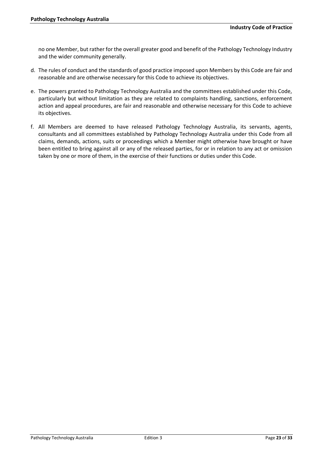no one Member, but rather for the overall greater good and benefit of the Pathology Technology Industry and the wider community generally.

- d. The rules of conduct and the standards of good practice imposed upon Members by this Code are fair and reasonable and are otherwise necessary for this Code to achieve its objectives.
- e. The powers granted to Pathology Technology Australia and the committees established under this Code, particularly but without limitation as they are related to complaints handling, sanctions, enforcement action and appeal procedures, are fair and reasonable and otherwise necessary for this Code to achieve its objectives.
- f. All Members are deemed to have released Pathology Technology Australia, its servants, agents, consultants and all committees established by Pathology Technology Australia under this Code from all claims, demands, actions, suits or proceedings which a Member might otherwise have brought or have been entitled to bring against all or any of the released parties, for or in relation to any act or omission taken by one or more of them, in the exercise of their functions or duties under this Code.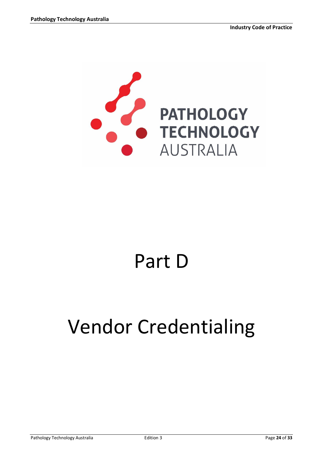

# Part D

# Vendor Credentialing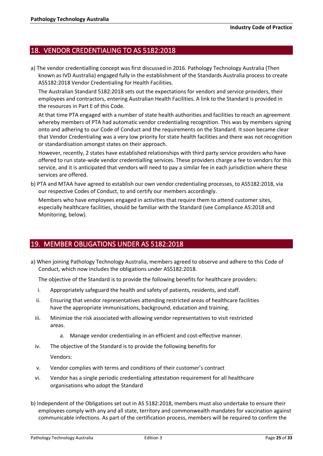## 18. VENDOR CREDENTIALING TO AS 5182:2018

a) The vendor credentialling concept was first discussed in 2016. Pathology Technology Australia (Then known as IVD Australia) engaged fully in the establishment of the Standards Australia process to create AS5182:2018 Vendor Credentialing for Health Facilities.

The Australian Standard 5182:2018 sets out the expectations for vendors and service providers, their employees and contractors, entering Australian Health Facilities. A link to the Standard is provided in the resources in Part E of this Code.

At that time PTA engaged with a number of state health authorities and facilities to reach an agreement whereby members of PTA had automatic vendor credentialing recognition. This was by members signing onto and adhering to our Code of Conduct and the requirements on the Standard. It soon became clear that Vendor Credentialing was a very low priority for state health facilities and there was not recognition or standardisation amongst states on their approach.

However, recently, 2 states have established relationships with third party service providers who have offered to run state-wide vendor credentialling services. These providers charge a fee to vendors for this service, and it is anticipated that vendors will need to pay a similar fee in each jurisdiction where these services are offered.

b) PTA and MTAA have agreed to establish our own vendor credentialing processes, to AS5182:2018, via our respective Codes of Conduct, to and certify our members accordingly.

Members who have employees engaged in activities that require them to attend customer sites, especially healthcare facilities, should be familiar with the Standard (see Compliance AS:2018 and Monitoring, below).

# 19. MEMBER OBLIGATIONS UNDER AS 5182:2018

a) When joining Pathology Technology Australia, members agreed to observe and adhere to this Code of Conduct, which now includes the obligations under AS5182:2018.

The objective of the Standard is to provide the following benefits for healthcare providers:

- i. Appropriately safeguard the health and safety of patients, residents, and staff.
- ii. Ensuring that vendor representatives attending restricted areas of healthcare facilities have the appropriate immunisations, background, education and training.
- iii. Minimize the risk associated with allowing vendor representatives to visit restricted areas.
	- a. Manage vendor credentialing in an efficient and cost-effective manner.
- iv. The objective of the Standard is to provide the following benefits for

Vendors:

- v. Vendor complies with terms and conditions of their customer's contract
- vi. Vendor has a single periodic credentialing attestation requirement for all healthcare organisations who adopt the Standard
- b) Independent of the Obligations set out in AS 5182:2018, members must also undertake to ensure their employees comply with any and all state, territory and commonwealth mandates for vaccination against communicable infections. As part of the certification process, members will be required to confirm the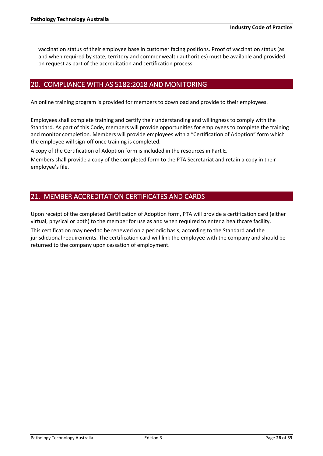vaccination status of their employee base in customer facing positions. Proof of vaccination status (as and when required by state, territory and commonwealth authorities) must be available and provided on request as part of the accreditation and certification process.

## 20. COMPLIANCE WITH AS 5182:2018 AND MONITORING

An online training program is provided for members to download and provide to their employees.

Employees shall complete training and certify their understanding and willingness to comply with the Standard. As part of this Code, members will provide opportunities for employees to complete the training and monitor completion. Members will provide employees with a "Certification of Adoption" form which the employee will sign-off once training is completed.

A copy of the Certification of Adoption form is included in the resources in Part E.

Members shall provide a copy of the completed form to the PTA Secretariat and retain a copy in their employee's file.

# 21. MEMBER ACCREDITATION CERTIFICATES AND CARDS

Upon receipt of the completed Certification of Adoption form, PTA will provide a certification card (either virtual, physical or both) to the member for use as and when required to enter a healthcare facility.

This certification may need to be renewed on a periodic basis, according to the Standard and the jurisdictional requirements. The certification card will link the employee with the company and should be returned to the company upon cessation of employment.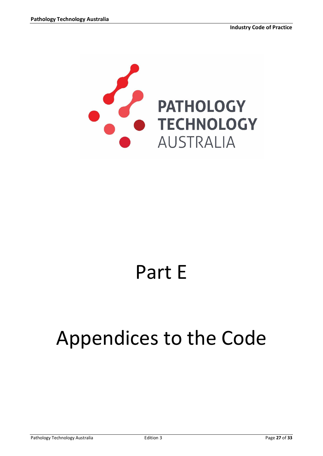

# Part E

# <span id="page-26-0"></span>Appendices to the Code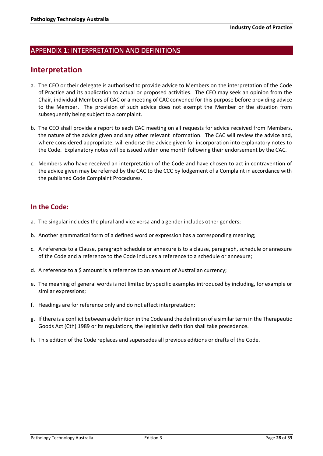## <span id="page-27-0"></span>APPENDIX 1: INTERPRETATION AND DEFINITIONS

# **Interpretation**

- a. The CEO or their delegate is authorised to provide advice to Members on the interpretation of the Code of Practice and its application to actual or proposed activities. The CEO may seek an opinion from the Chair, individual Members of CAC or a meeting of CAC convened for this purpose before providing advice to the Member. The provision of such advice does not exempt the Member or the situation from subsequently being subject to a complaint.
- b. The CEO shall provide a report to each CAC meeting on all requests for advice received from Members, the nature of the advice given and any other relevant information. The CAC will review the advice and, where considered appropriate, will endorse the advice given for incorporation into explanatory notes to the Code. Explanatory notes will be issued within one month following their endorsement by the CAC.
- c. Members who have received an interpretation of the Code and have chosen to act in contravention of the advice given may be referred by the CAC to the CCC by lodgement of a Complaint in accordance with the published Code Complaint Procedures.

## **In the Code:**

- a. The singular includes the plural and vice versa and a gender includes other genders;
- b. Another grammatical form of a defined word or expression has a corresponding meaning;
- c. A reference to a Clause, paragraph schedule or annexure is to a clause, paragraph, schedule or annexure of the Code and a reference to the Code includes a reference to a schedule or annexure;
- d. A reference to a \$ amount is a reference to an amount of Australian currency;
- e. The meaning of general words is not limited by specific examples introduced by including, for example or similar expressions;
- f. Headings are for reference only and do not affect interpretation;
- g. If there is a conflict between a definition in the Code and the definition of a similar term in the Therapeutic Goods Act (Cth) 1989 or its regulations, the legislative definition shall take precedence.
- h. This edition of the Code replaces and supersedes all previous editions or drafts of the Code.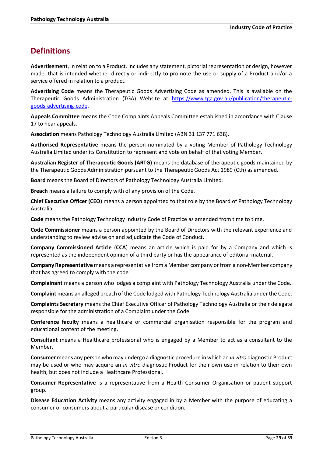# **Definitions**

**Advertisement**, in relation to a Product, includes any statement, pictorial representation or design, however made, that is intended whether directly or indirectly to promote the use or supply of a Product and/or a service offered in relation to a product.

**Advertising Code** means the Therapeutic Goods Advertising Code as amended. This is available on the Therapeutic Goods Administration (TGA) Website at [https://www.tga.gov.au/publication/therapeutic](https://www.tga.gov.au/publication/therapeutic-goods-advertising-code)[goods-advertising-code.](https://www.tga.gov.au/publication/therapeutic-goods-advertising-code)

**Appeals Committee** means the Code Complaints Appeals Committee established in accordance with Clause 17 to hear appeals.

**Association** means Pathology Technology Australia Limited (ABN 31 137 771 638).

**Authorised Representative** means the person nominated by a voting Member of Pathology Technology Australia Limited under its Constitution to represent and vote on behalf of that voting Member.

**Australian Register of Therapeutic Goods (ARTG)** means the database of therapeutic goods maintained by the Therapeutic Goods Administration pursuant to the Therapeutic Goods Act 1989 (Cth) as amended.

**Board** means the Board of Directors of Pathology Technology Australia Limited.

**Breach** means a failure to comply with of any provision of the Code.

**Chief Executive Officer (CEO)** means a person appointed to that role by the Board of Pathology Technology Australia

**Code** means the Pathology Technology Industry Code of Practice as amended from time to time.

**Code Commissioner** means a person appointed by the Board of Directors with the relevant experience and understanding to review advise on and adjudicate the Code of Conduct.

**Company Commissioned Article** (**CCA**) means an article which is paid for by a Company and which is represented as the independent opinion of a third party or has the appearance of editorial material.

**Company Representative** means a representative from a Member company or from a non-Member company that has agreed to comply with the code

**Complainant** means a person who lodges a complaint with Pathology Technology Australia under the Code.

**Complaint** means an alleged breach of the Code lodged with Pathology Technology Australia under the Code.

**Complaints Secretary** means the Chief Executive Officer of Pathology Technology Australia or their delegate responsible for the administration of a Complaint under the Code.

**Conference faculty** means a healthcare or commercial organisation responsible for the program and educational content of the meeting.

**Consultant** means a Healthcare professional who is engaged by a Member to act as a consultant to the Member.

**Consumer** means any person who may undergo a diagnostic procedure in which an *in vitro* diagnostic Product may be used or who may acquire an *in vitro* diagnostic Product for their own use in relation to their own health, but does not include a Healthcare Professional.

**Consumer Representative** is a representative from a Health Consumer Organisation or patient support group.

**Disease Education Activity** means any activity engaged in by a Member with the purpose of educating a consumer or consumers about a particular disease or condition.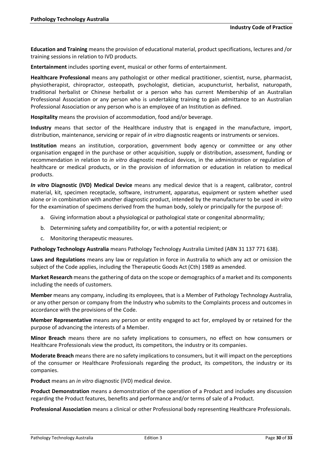**Education and Training** means the provision of educational material, product specifications, lectures and /or training sessions in relation to IVD products.

**Entertainment** includes sporting event, musical or other forms of entertainment.

**Healthcare Professional** means any pathologist or other medical practitioner, scientist, nurse, pharmacist, physiotherapist, chiropractor, osteopath, psychologist, dietician, acupuncturist, herbalist, naturopath, traditional herbalist or Chinese herbalist or a person who has current Membership of an Australian Professional Association or any person who is undertaking training to gain admittance to an Australian Professional Association or any person who is an employee of an Institution as defined.

**Hospitality** means the provision of accommodation, food and/or beverage.

**Industry** means that sector of the Healthcare industry that is engaged in the manufacture, import, distribution, maintenance, servicing or repair of *in vitro* diagnostic reagents or instruments or services.

**Institution** means an institution, corporation, government body agency or committee or any other organisation engaged in the purchase or other acquisition, supply or distribution, assessment, funding or recommendation in relation to *in vitro* diagnostic medical devices, in the administration or regulation of healthcare or medical products, or in the provision of information or education in relation to medical products.

*In vitro* **Diagnostic (IVD) Medical Device** means any medical device that is a reagent, calibrator, control material, kit, specimen receptacle, software, instrument, apparatus, equipment or system whether used alone or in combination with another diagnostic product, intended by the manufacturer to be used *in vitro* for the examination of specimens derived from the human body, solely or principally for the purpose of:

- a. Giving information about a physiological or pathological state or congenital abnormality;
- b. Determining safety and compatibility for, or with a potential recipient; or
- c. Monitoring therapeutic measures.

**Pathology Technology Australia** means Pathology Technology Australia Limited (ABN 31 137 771 638).

**Laws and Regulations** means any law or regulation in force in Australia to which any act or omission the subject of the Code applies, including the Therapeutic Goods Act (Cth) 1989 as amended.

**Market Research** means the gathering of data on the scope or demographics of a market and its components including the needs of customers.

**Member** means any company, including its employees, that is a Member of Pathology Technology Australia, or any other person or company from the Industry who submits to the Complaints process and outcomes in accordance with the provisions of the Code.

**Member Representative** means any person or entity engaged to act for, employed by or retained for the purpose of advancing the interests of a Member.

**Minor Breach** means there are no safety implications to consumers, no effect on how consumers or Healthcare Professionals view the product, its competitors, the industry or its companies.

**Moderate Breach** means there are no safety implications to consumers, but it will impact on the perceptions of the consumer or Healthcare Professionals regarding the product, its competitors, the industry or its companies.

**Product** means an *in vitro* diagnostic (IVD) medical device.

**Product Demonstration** means a demonstration of the operation of a Product and includes any discussion regarding the Product features, benefits and performance and/or terms of sale of a Product.

**Professional Association** means a clinical or other Professional body representing Healthcare Professionals.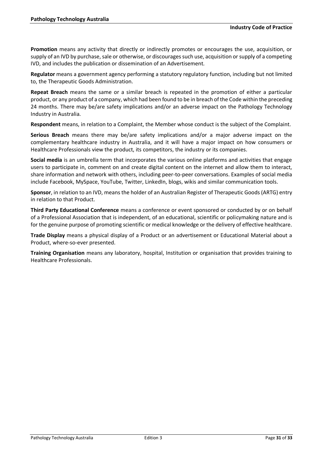**Promotion** means any activity that directly or indirectly promotes or encourages the use, acquisition, or supply of an IVD by purchase, sale or otherwise, or discourages such use, acquisition or supply of a competing IVD, and includes the publication or dissemination of an Advertisement.

**Regulator** means a government agency performing a statutory regulatory function, including but not limited to, the Therapeutic Goods Administration.

**Repeat Breach** means the same or a similar breach is repeated in the promotion of either a particular product, or any product of a company, which had been found to be in breach of the Code within the preceding 24 months. There may be/are safety implications and/or an adverse impact on the Pathology Technology Industry in Australia.

**Respondent** means, in relation to a Complaint, the Member whose conduct is the subject of the Complaint.

**Serious Breach** means there may be/are safety implications and/or a major adverse impact on the complementary healthcare industry in Australia, and it will have a major impact on how consumers or Healthcare Professionals view the product, its competitors, the industry or its companies.

**Social media** is an umbrella term that incorporates the various online platforms and activities that engage users to participate in, comment on and create digital content on the internet and allow them to interact, share information and network with others, including peer-to-peer conversations. Examples of social media include Facebook, MySpace, YouTube, Twitter, LinkedIn, blogs, wikis and similar communication tools.

**Sponsor**, in relation to an IVD, means the holder of an Australian Register of Therapeutic Goods (ARTG) entry in relation to that Product.

**Third Party Educational Conference** means a conference or event sponsored or conducted by or on behalf of a Professional Association that is independent, of an educational, scientific or policymaking nature and is for the genuine purpose of promoting scientific or medical knowledge or the delivery of effective healthcare.

**Trade Display** means a physical display of a Product or an advertisement or Educational Material about a Product, where-so-ever presented.

**Training Organisation** means any laboratory, hospital, Institution or organisation that provides training to Healthcare Professionals.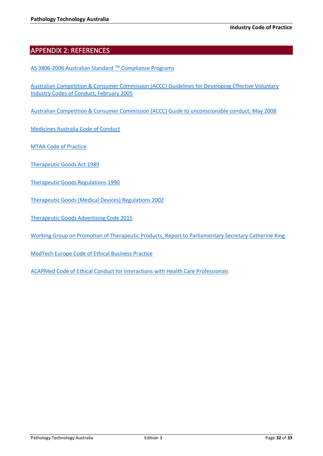## <span id="page-31-0"></span>APPENDIX 2: REFERENCES

[AS 3806-2006 Australian Standard](https://www.saiglobal.com/PDFTemp/Previews/OSH/as/as3000/3800/3806-2006.pdf) ™ Compliance Programs

[Australian Competition & Consumer Commission \(ACCC\)](https://www.accc.gov.au/system/files/Guidelines%20for%20developing%20effective%20voluntary%20industry%20codes%20of%20conduct.pdf) Guidelines for Developing Effective Voluntary [Industry Codes of Conduct, February 2005](https://www.accc.gov.au/system/files/Guidelines%20for%20developing%20effective%20voluntary%20industry%20codes%20of%20conduct.pdf)

[Australian Competition & Consumer Commission \(ACCC\) Guide to unconscionable conduct, May 2008](https://www.accc.gov.au/business/anti-competitive-behaviour/unconscionable-conduct)

[Medicines Australia Code of Conduct](https://medicinesaustralia.com.au/code-of-conduct/code-of-conduct-current-edition/)

[MTAA Code of Practice](https://www.mtaa.org.au/resources/code-of-practice)

- [Therapeutic Goods Act 1989](http://www.comlaw.gov.au/comlaw/management.nsf/lookupindexpagesbyid/IP200401372?OpenDocument)
- [Therapeutic Goods Regulations 1990](http://www.comlaw.gov.au/comlaw/management.nsf/lookupindexpagesbyid/IP200400127?OpenDocument)

[Therapeutic Goods \(Medical Devices\) Regulations 2002](https://www.legislation.gov.au/Series/F2002B00237)

[Therapeutic Goods Advertising Code 2015](https://www.legislation.gov.au/Search/therapeutic%20goods%20advertising%20code)

[Working Group on Promotion of Therapeutic Products,](http://ivd.org.au/about-us/code-of-conduct/) Report to Parliamentary Secretary Catherine King

[MedTech Europe Code of Ethical Business Practice](https://www.ethicalmedtech.eu/wp-content/uploads/2017/05/Medtech_Europe_Code_of_Ethical_Business_Practice.012018.pdf)

[ACAPMed Code of Ethical Conduct for Interactions with Health Care Professionals](http://www.apacmed.org/our-focus/code-of-conduct/)